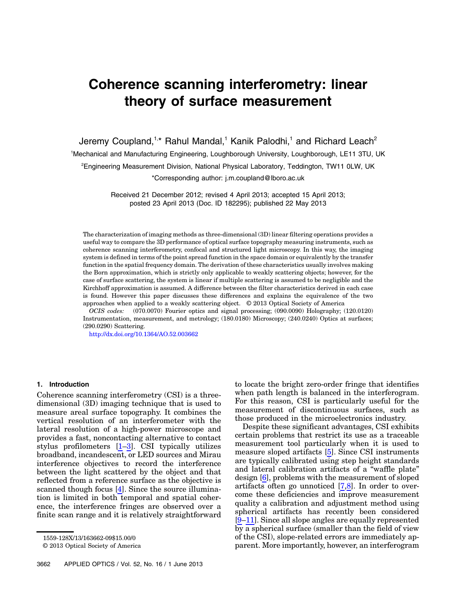# Coherence scanning interferometry: linear theory of surface measurement

Jeremy Coupland,<sup>1,\*</sup> Rahul Mandal,<sup>1</sup> Kanik Palodhi,<sup>1</sup> and Richard Leach<sup>2</sup> <sup>1</sup>Mechanical and Manufacturing Engineering, Loughborough University, Loughborough, LE11 3TU, UK <sup>2</sup>Engineering Measurement Division, National Physical Laboratory, Teddington, TW11 0LW, UK

\*Corresponding author: j.m.coupland@lboro.ac.uk

Received 21 December 2012; revised 4 April 2013; accepted 15 April 2013; posted 23 April 2013 (Doc. ID 182295); published 22 May 2013

The characterization of imaging methods as three-dimensional (3D) linear filtering operations provides a useful way to compare the 3D performance of optical surface topography measuring instruments, such as coherence scanning interferometry, confocal and structured light microscopy. In this way, the imaging system is defined in terms of the point spread function in the space domain or equivalently by the transfer function in the spatial frequency domain. The derivation of these characteristics usually involves making the Born approximation, which is strictly only applicable to weakly scattering objects; however, for the case of surface scattering, the system is linear if multiple scattering is assumed to be negligible and the Kirchhoff approximation is assumed. A difference between the filter characteristics derived in each case is found. However this paper discusses these differences and explains the equivalence of the two approaches when applied to a weakly scattering object. © 2013 Optical Society of America

OCIS codes: (070.0070) Fourier optics and signal processing; (090.0090) Holography; (120.0120) Instrumentation, measurement, and metrology; (180.0180) Microscopy; (240.0240) Optics at surfaces; (290.0290) Scattering.

http://dx.doi.org/10.1364/AO.52.003662

## 1. Introduction

Coherence scanning interferometry (CSI) is a threedimensional (3D) imaging technique that is used to measure areal surface topography. It combines the vertical resolution of an interferometer with the lateral resolution of a high-power microscope and provides a fast, noncontacting alternative to contact stylus profilometers [1–3]. CSI typically utilizes broadband, incandescent, or LED sources and Mirau interference objectives to record the interference between the light scattered by the object and that reflected from a reference surface as the objective is scanned though focus [4]. Since the source illumination is limited in both temporal and spatial coherence, the interference fringes are observed over a finite scan range and it is relatively straightforward

to locate the bright zero-order fringe that identifies when path length is balanced in the interferogram. For this reason, CSI is particularly useful for the measurement of discontinuous surfaces, such as those produced in the microelectronics industry.

Despite these significant advantages, CSI exhibits certain problems that restrict its use as a traceable measurement tool particularly when it is used to measure sloped artifacts [5]. Since CSI instruments are typically calibrated using step height standards and lateral calibration artifacts of a "waffle plate" design [6], problems with the measurement of sloped artifacts often go unnoticed  $[7,8]$ . In order to overcome these deficiencies and improve measurement quality a calibration and adjustment method using spherical artifacts has recently been considered [9–11]. Since all slope angles are equally represented by a spherical surface (smaller than the field of view of the CSI), slope-related errors are immediately apparent. More importantly, however, an interferogram

<sup>1559-128</sup>X/13/163662-09\$15.00/0

<sup>© 2013</sup> Optical Society of America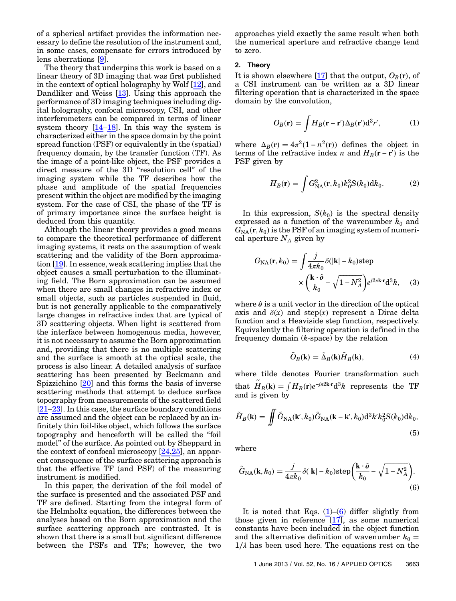of a spherical artifact provides the information necessary to define the resolution of the instrument and, in some cases, compensate for errors introduced by lens aberrations [9].

The theory that underpins this work is based on a linear theory of 3D imaging that was first published in the context of optical holography by Wolf [12], and Dandliker and Weiss [13]. Using this approach the performance of 3D imaging techniques including digital holography, confocal microscopy, CSI, and other interferometers can be compared in terms of linear system theory [14–18]. In this way the system is characterized either in the space domain by the point spread function (PSF) or equivalently in the (spatial) frequency domain, by the transfer function (TF). As the image of a point-like object, the PSF provides a direct measure of the 3D "resolution cell" of the imaging system while the TF describes how the phase and amplitude of the spatial frequencies present within the object are modified by the imaging system. For the case of CSI, the phase of the TF is of primary importance since the surface height is deduced from this quantity.

Although the linear theory provides a good means to compare the theoretical performance of different imaging systems, it rests on the assumption of weak scattering and the validity of the Born approximation [19]. In essence, weak scattering implies that the object causes a small perturbation to the illuminating field. The Born approximation can be assumed when there are small changes in refractive index or small objects, such as particles suspended in fluid, but is not generally applicable to the comparatively large changes in refractive index that are typical of 3D scattering objects. When light is scattered from the interface between homogenous media, however, it is not necessary to assume the Born approximation and, providing that there is no multiple scattering and the surface is smooth at the optical scale, the process is also linear. A detailed analysis of surface scattering has been presented by Beckmann and Spizzichino [20] and this forms the basis of inverse scattering methods that attempt to deduce surface topography from measurements of the scattered field [21–23]. In this case, the surface boundary conditions are assumed and the object can be replaced by an infinitely thin foil-like object, which follows the surface topography and henceforth will be called the "foil model" of the surface. As pointed out by Sheppard in the context of confocal microscopy [24,25], an apparent consequence of the surface scattering approach is that the effective TF (and PSF) of the measuring instrument is modified.

In this paper, the derivation of the foil model of the surface is presented and the associated PSF and TF are defined. Starting from the integral form of the Helmholtz equation, the differences between the analyses based on the Born approximation and the surface scattering approach are contrasted. It is shown that there is a small but significant difference between the PSFs and TFs; however, the two

approaches yield exactly the same result when both the numerical aperture and refractive change tend to zero.

## 2. Theory

It is shown elsewhere  $[17]$  that the output,  $O_B(r)$ , of a CSI instrument can be written as a 3D linear filtering operation that is characterized in the space domain by the convolution,

$$
O_B(\mathbf{r}) = \int H_B(\mathbf{r} - \mathbf{r}') \Delta_B(\mathbf{r}') d^3 r', \tag{1}
$$

where  $\Delta_B(\mathbf{r}) = 4\pi^2(1 - n^2(\mathbf{r}))$  defines the object in terms of the refractive index n and  $H_B(\mathbf{r} - \mathbf{r}')$  is the PSF given by

$$
H_B(\mathbf{r}) = \int G_{\rm NA}^2(\mathbf{r}, k_0) k_0^2 S(k_0) \mathrm{d}k_0.
$$
 (2)

In this expression,  $S(k_0)$  is the spectral density expressed as a function of the wavenumber  $k_0$  and  $\widetilde{G_{\rm NA}}(\mathbf{r},k_0)$  is the PSF of an imaging system of numerical aperture  ${\cal N}_A$  given by

$$
G_{\rm NA}(\mathbf{r}, k_0) = \int \frac{j}{4\pi k_0} \delta(|\mathbf{k}| - k_0) \text{step}
$$

$$
\times \left(\frac{\mathbf{k} \cdot \hat{\boldsymbol{\theta}}}{k_0} - \sqrt{1 - N_A^2}\right) e^{j2\pi \mathbf{k} \cdot \mathbf{r}} \mathbf{d}^3 k,\qquad(3)
$$

where  $\hat{\boldsymbol{\theta}}$  is a unit vector in the direction of the optical axis and  $\delta(x)$  and step(x) represent a Dirac delta function and a Heaviside step function, respectively. Equivalently the filtering operation is defined in the frequency domain  $(k\text{-space})$  by the relation

$$
\tilde{O}_B(\mathbf{k}) = \tilde{\Delta}_B(\mathbf{k}) \tilde{H}_B(\mathbf{k}),\tag{4}
$$

where tilde denotes Fourier transformation such that  $\tilde{H}_B(\mathbf{k}) = \int H_B(\mathbf{r}) e^{-j\pi 2\mathbf{k} \cdot \mathbf{r}} d^3k$  represents the TF and is given by

$$
\tilde{H}_B(\mathbf{k}) = \iint \tilde{G}_{\text{NA}}(\mathbf{k}', k_0) \tilde{G}_{\text{NA}}(\mathbf{k} - \mathbf{k}', k_0) d^3 k' k_0^2 S(k_0) dk_0,
$$
\n(5)

where

$$
\tilde{G}_{\text{NA}}(\mathbf{k}, k_0) = \frac{j}{4\pi k_0} \delta(|\mathbf{k}| - k_0) \text{step}\left(\frac{\mathbf{k} \cdot \hat{\boldsymbol{\theta}}}{k_0} - \sqrt{1 - N_A^2}\right). \tag{6}
$$

It is noted that Eqs.  $(1)$ – $(6)$  differ slightly from those given in reference  $\boxed{17}$ , as some numerical constants have been included in the object function and the alternative definition of wavenumber  $k_0 =$  $1/\lambda$  has been used here. The equations rest on the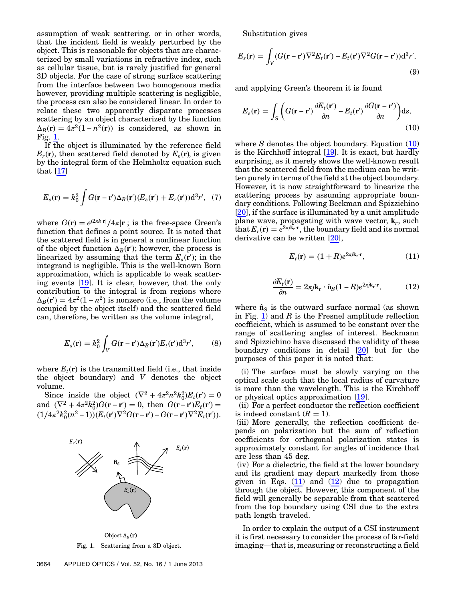assumption of weak scattering, or in other words, that the incident field is weakly perturbed by the object. This is reasonable for objects that are characterized by small variations in refractive index, such as cellular tissue, but is rarely justified for general 3D objects. For the case of strong surface scattering from the interface between two homogenous media however, providing multiple scattering is negligible, the process can also be considered linear. In order to relate these two apparently disparate processes scattering by an object characterized by the function  $\Delta_B(\mathbf{r}) = 4\pi^2(1 - n^2(\mathbf{r}))$  is considered, as shown in Fig. 1.

If the object is illuminated by the reference field  $E_r(\mathbf{r})$ , then scattered field denoted by  $E_s(\mathbf{r})$ , is given by the integral form of the Helmholtz equation such that [17]

$$
E_s(\mathbf{r}) = k_0^2 \int G(\mathbf{r} - \mathbf{r}') \Delta_B(\mathbf{r}') (E_s(\mathbf{r}') + E_r(\mathbf{r}')) \mathrm{d}^3 r', \quad (7)
$$

where  $G(\mathbf{r}) = e^{j2\pi k|\mathbf{r}|}/4\pi|\mathbf{r}|$ ; is the free-space Green's function that defines a point source. It is noted that the scattered field is in general a nonlinear function of the object function  $\Delta_B(\mathbf{r}')$ ; however, the process is linearized by assuming that the term  $E_s(\mathbf{r}')$ ; in the integrand is negligible. This is the well-known Born approximation, which is applicable to weak scattering events [19]. It is clear, however, that the only contribution to the integral is from regions where  $\Delta_B(\mathbf{r}') = 4\pi^2(1 - n^2)$  is nonzero (i.e., from the volume occupied by the object itself) and the scattered field can, therefore, be written as the volume integral,

$$
E_s(\mathbf{r}) = k_0^2 \int_V G(\mathbf{r} - \mathbf{r}') \Delta_B(\mathbf{r}') E_t(\mathbf{r}') d^3 r', \qquad (8)
$$

where  $E_t(\mathbf{r})$  is the transmitted field (i.e., that inside the object boundary) and V denotes the object volume.

Since inside the object  $(\nabla^2 + 4\pi^2 n^2 k_0^2) E_t(\mathbf{r}') = 0$ and  $(\nabla^2 + 4\pi^2 k_0^2)G(\mathbf{r} - \mathbf{r}') = 0$ , then  $G(\mathbf{r} - \mathbf{r}')E_t(\mathbf{r}') =$  $(1/4\pi^2 k_0^2(n^2-1))(E_t(\mathbf{r}')\nabla^2 G(\mathbf{r}-\mathbf{r}') - G(\mathbf{r}-\mathbf{r}')\nabla^2 E_t(\mathbf{r}')).$ 



Object  $\Delta_B(\mathbf{r})$ 

Substitution gives

$$
E_s(\mathbf{r}) = \int_V (G(\mathbf{r} - \mathbf{r}') \nabla^2 E_t(\mathbf{r}') - E_t(\mathbf{r}') \nabla^2 G(\mathbf{r} - \mathbf{r}')) \mathrm{d}^3 r',\tag{9}
$$

and applying Green's theorem it is found

$$
E_s(\mathbf{r}) = \int_S \left( G(\mathbf{r} - \mathbf{r}') \frac{\partial E_t(\mathbf{r}')}{\partial n} - E_t(\mathbf{r}') \frac{\partial G(\mathbf{r} - \mathbf{r}')}{\partial n} \right) ds,
$$
\n(10)

where S denotes the object boundary. Equation  $(10)$ is the Kirchhoff integral [19]. It is exact, but hardly surprising, as it merely shows the well-known result that the scattered field from the medium can be written purely in terms of the field at the object boundary. However, it is now straightforward to linearize the scattering process by assuming appropriate boundary conditions. Following Beckman and Spizzichino [20], if the surface is illuminated by a unit amplitude plane wave, propagating with wave vector,  $\mathbf{k}_r$ , such that  $E_r(\mathbf{r}) = e^{2\pi j \hat{\mathbf{k}}_r \cdot \mathbf{r}}$ , the boundary field and its normal derivative can be written [20],

$$
E_t(\mathbf{r}) = (1+R)e^{2\pi j \mathbf{k}_\mathbf{r} \cdot \mathbf{r}},\tag{11}
$$

$$
\frac{\partial E_t(\mathbf{r})}{\partial n} = 2\pi j \mathbf{k}_\mathbf{r} \cdot \hat{\mathbf{n}}_S (1 - R) e^{2\pi j \mathbf{k}_\mathbf{r} \cdot \mathbf{r}},\tag{12}
$$

where  $\hat{\mathbf{n}}_{S}$  is the outward surface normal (as shown in Fig. 1) and  $R$  is the Fresnel amplitude reflection coefficient, which is assumed to be constant over the range of scattering angles of interest. Beckmann and Spizzichino have discussed the validity of these boundary conditions in detail [20] but for the purposes of this paper it is noted that:

(i) The surface must be slowly varying on the optical scale such that the local radius of curvature is more than the wavelength. This is the Kirchhoff or physical optics approximation [19].

(ii) For a perfect conductor the reflection coefficient is indeed constant  $(R = 1)$ .

(iii) More generally, the reflection coefficient depends on polarization but the sum of reflection coefficients for orthogonal polarization states is approximately constant for angles of incidence that are less than 45 deg.

(iv) For a dielectric, the field at the lower boundary and its gradient may depart markedly from those given in Eqs.  $(11)$  and  $(12)$  due to propagation through the object. However, this component of the field will generally be separable from that scattered from the top boundary using CSI due to the extra path length traveled.

In order to explain the output of a CSI instrument it is first necessary to consider the process of far-field Fig. 1. Scattering from a 3D object. imaging—that is, measuring or reconstructing a field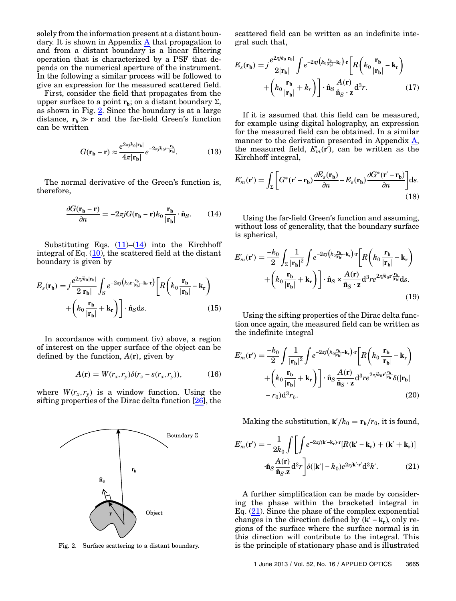solely from the information present at a distant boundary. It is shown in Appendix A that propagation to and from a distant boundary is a linear filtering operation that is characterized by a PSF that depends on the numerical aperture of the instrument. In the following a similar process will be followed to give an expression for the measured scattered field.

First, consider the field that propagates from the upper surface to a point  $\mathbf{r}_b$ ; on a distant boundary  $\Sigma$ , as shown in Fig. 2. Since the boundary is at a large distance,  $r_b \gg r$  and the far-field Green's function can be written

$$
G(\mathbf{r_b} - \mathbf{r}) \approx \frac{e^{2\pi j k_0 |\mathbf{r_b}|}}{4\pi |\mathbf{r_b}|} e^{-2\pi j k_0 \mathbf{r} \cdot \frac{\mathbf{r_b}}{|\mathbf{r_b}|}}.
$$
(13)

The normal derivative of the Green's function is, therefore,

$$
\frac{\partial G(\mathbf{r_b} - \mathbf{r})}{\partial n} = -2\pi j G(\mathbf{r_b} - \mathbf{r}) k_0 \frac{\mathbf{r_b}}{|\mathbf{r_b}|} \cdot \hat{\mathbf{n}}_S. \quad (14)
$$

Substituting Eqs.  $(11)$ – $(14)$  into the Kirchhoff integral of Eq. (10), the scattered field at the distant boundary is given by

$$
E_s(\mathbf{r_b}) = j \frac{e^{2\pi j k_0 |\mathbf{r_b}|}}{2|\mathbf{r_b}|} \int_S e^{-2\pi j \left(k_0 \mathbf{r} \frac{\mathbf{r_b}}{|\mathbf{r_b}|} - \mathbf{k_r} \cdot \mathbf{r}\right)} \left[ R \left( k_0 \frac{\mathbf{r_b}}{|\mathbf{r_b}|} - \mathbf{k_r} \right) + \left( k_0 \frac{\mathbf{r_b}}{|\mathbf{r_b}|} + \mathbf{k_r} \right) \right] \cdot \hat{\mathbf{n}}_S \, \mathrm{d}s. \tag{15}
$$

In accordance with comment (iv) above, a region of interest on the upper surface of the object can be defined by the function,  $A(r)$ , given by

$$
A(\mathbf{r}) = W(r_x, r_y) \delta(r_z - s(r_x, r_y)), \tag{16}
$$

where  $W(r_x, r_y)$  is a window function. Using the sifting properties of the Dirac delta function [26], the



scattered field can be written as an indefinite integral such that,

$$
E_s(\mathbf{r}_b) = j \frac{e^{2\pi j k_0 |\mathbf{r}_b|}}{2|\mathbf{r}_b|} \int e^{-2\pi j \left(k_0 \frac{\mathbf{r}_b}{|\mathbf{r}_b|} - \mathbf{k}_r\right) \cdot \mathbf{r}} \left[ R \left( k_0 \frac{\mathbf{r}_b}{|\mathbf{r}_b|} - \mathbf{k}_r \right) + \left( k_0 \frac{\mathbf{r}_b}{|\mathbf{r}_b|} + k_r \right) \right] \cdot \hat{\mathbf{n}}_S \frac{A(\mathbf{r})}{\hat{\mathbf{n}}_S \cdot \mathbf{z}} d^3 r. \tag{17}
$$

If it is assumed that this field can be measured, for example using digital holography, an expression for the measured field can be obtained. In a similar manner to the derivation presented in Appendix A, the measured field,  $E'_m(\mathbf{r}')$ , can be written as the Kirchhoff integral,

$$
E'_{m}(\mathbf{r}') = \int_{\Sigma} \left[ G^{*}(\mathbf{r}' - \mathbf{r}_{\mathbf{b}}) \frac{\partial E_{s}(\mathbf{r}_{\mathbf{b}})}{\partial n} - E_{s}(\mathbf{r}_{\mathbf{b}}) \frac{\partial G^{*}(\mathbf{r}' - \mathbf{r}_{\mathbf{b}})}{\partial n} \right] ds.
$$
\n(18)

Using the far-field Green's function and assuming, without loss of generality, that the boundary surface is spherical,

$$
E'_{m}(\mathbf{r}') = \frac{-k_0}{2} \int_{\Sigma} \frac{1}{|\mathbf{r}_b|^2} \int e^{-2\pi j \left(k_0 \frac{\mathbf{r}_b}{|\mathbf{r}_b|} - \mathbf{k}_r\right) \cdot \mathbf{r}} \left[ R \left(k_0 \frac{\mathbf{r}_b}{|\mathbf{r}_b|} - \mathbf{k}_r\right) \right. \\ \left. + \left(k_0 \frac{\mathbf{r}_b}{|\mathbf{r}_b|} + \mathbf{k}_r\right) \right] \cdot \hat{\mathbf{n}}_S \times \frac{A(\mathbf{r})}{\hat{\mathbf{n}}_S \cdot \mathbf{z}} \mathrm{d}^3 r e^{2\pi j k_0 r' \frac{\mathbf{r}_b}{|\mathbf{r}_b|}} \mathrm{d}s. \tag{19}
$$

Using the sifting properties of the Dirac delta function once again, the measured field can be written as the indefinite integral

$$
E'_{m}(\mathbf{r}') = \frac{-k_0}{2} \int \frac{1}{|\mathbf{r}_b|^2} \int e^{-2\pi j \left(k_0 \frac{\mathbf{r}_b}{|\mathbf{r}_b|} + \mathbf{r}\right) \cdot \mathbf{r}} \left[ R \left( k_0 \frac{\mathbf{r}_b}{|\mathbf{r}_b|} - \mathbf{k}_r \right) + \left( k_0 \frac{\mathbf{r}_b}{|\mathbf{r}_b|} + \mathbf{k}_r \right) \right] \cdot \hat{\mathbf{n}}_S \frac{A(\mathbf{r})}{\hat{\mathbf{n}}_S \cdot \mathbf{z}} d^3 r e^{2\pi j k_0 \mathbf{r}' \frac{\mathbf{r}_b}{|\mathbf{r}_b|}} \delta(|\mathbf{r}_b| - r_0) d^3 r_b.
$$
\n(20)

Making the substitution,  $\mathbf{k}'/k_0 = \mathbf{r_b}/r_0$ , it is found,

$$
E'_{m}(\mathbf{r}') = -\frac{1}{2k_0} \int \left[ \int e^{-2\pi j(\mathbf{k}' - \mathbf{k}_\mathbf{r}) \cdot \mathbf{r}} [R(\mathbf{k}' - \mathbf{k}_\mathbf{r}) + (\mathbf{k}' + \mathbf{k}_\mathbf{r})] \right]
$$

$$
\cdot \hat{\mathbf{n}}_{S} \frac{A(\mathbf{r})}{\hat{\mathbf{n}}_{S} \cdot \mathbf{z}} d^3 r \right] \delta(|\mathbf{k}'| - k_0) e^{2\pi j \mathbf{k}' \cdot \mathbf{r}'} d^3 k'.
$$
(21)

A further simplification can be made by considering the phase within the bracketed integral in Eq. (21). Since the phase of the complex exponential changes in the direction defined by  $(k' - k_r)$ , only regions of the surface where the surface normal is in this direction will contribute to the integral. This Fig. 2. Surface scattering to a distant boundary. is the principle of stationary phase and is illustrated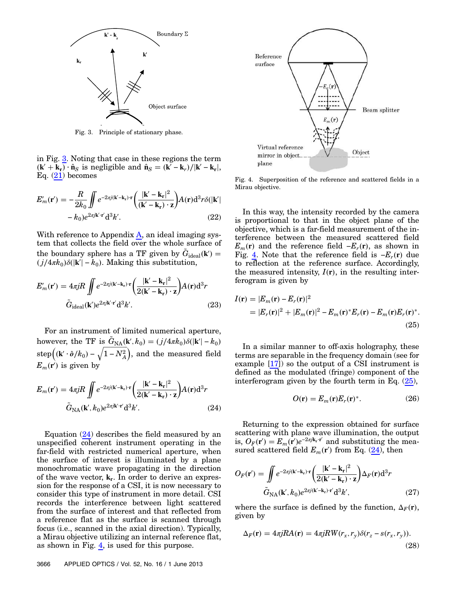

Fig. 3. Principle of stationary phase.

in Fig. 3. Noting that case in these regions the term  $(\mathbf{k}' + \mathbf{k}_r) \cdot \hat{\mathbf{n}}_S$  is negligible and  $\hat{\mathbf{n}}_S = (\mathbf{k}' - \mathbf{k}_r)/|\mathbf{k}' - \mathbf{k}_r|$ , Eq.  $(21)$  becomes

$$
E'_{m}(\mathbf{r}') = -\frac{R}{2k_0} \iint e^{-2\pi j(\mathbf{k}' - \mathbf{k}_\mathbf{r}) \cdot \mathbf{r}} \left( \frac{|\mathbf{k}' - \mathbf{k}_\mathbf{r}|^2}{(\mathbf{k}' - \mathbf{k}_\mathbf{r}) \cdot \mathbf{z}} \right) A(\mathbf{r}) d^3 r \delta(|\mathbf{k}'| - k_0) e^{2\pi j \mathbf{k}' \cdot \mathbf{r}'} d^3 k'.
$$
 (22)

With reference to Appendix  $\overline{A}$ , an ideal imaging system that collects the field over the whole surface of the boundary sphere has a TF given by  $\tilde{G}_{\text{ideal}}(\mathbf{k}') =$  $(j/4\pi k_0)\delta(|\mathbf{k}'|-\hat{k}_0)$ . Making this substitution,

$$
E'_{m}(\mathbf{r}') = 4\pi jR \iint e^{-2\pi j(\mathbf{k}' - \mathbf{k}_{\mathbf{r}}) \cdot \mathbf{r}} \left( \frac{|\mathbf{k}' - \mathbf{k}_{\mathbf{r}}|^2}{2(\mathbf{k}' - \mathbf{k}_{\mathbf{r}}) \cdot \mathbf{z}} \right) A(\mathbf{r}) d^3 r
$$

$$
\tilde{G}_{\text{ideal}}(\mathbf{k}') e^{2\pi j \mathbf{k}' \cdot \mathbf{r}'} d^3 k'.
$$
(23)

For an instrument of limited numerical aperture, however, the TF is  $\tilde{G}_{NA}(\mathbf{k}', k_0) = (j/4\pi k_0)\delta(|\mathbf{k}'| - k_0)$  $\text{step}\left((\mathbf{k}'\cdot\hat{\boldsymbol{o}}/k_0)-\sqrt{1-N_A^2}\right)$ , and the measured field --<br>1 ---.<br>ا ------ $E_m(\vec{r})$  is given by

$$
E_m(\mathbf{r}') = 4\pi jR \iint e^{-2\pi j(\mathbf{k}' - \mathbf{k}_\mathbf{r}) \cdot \mathbf{r}} \left( \frac{|\mathbf{k}' - \mathbf{k}_\mathbf{r}|^2}{2(\mathbf{k}' - \mathbf{k}_\mathbf{r}) \cdot \mathbf{z}} \right) A(\mathbf{r}) d^3 r
$$

$$
\tilde{G}_{\rm NA}(\mathbf{k}', k_0) e^{2\pi j \mathbf{k}' \cdot \mathbf{r}'} d^3 k'.
$$
(24)

Equation (24) describes the field measured by an unspecified coherent instrument operating in the far-field with restricted numerical aperture, when the surface of interest is illuminated by a plane monochromatic wave propagating in the direction of the wave vector,  $\mathbf{k}_r$ . In order to derive an expression for the response of a CSI, it is now necessary to consider this type of instrument in more detail. CSI records the interference between light scattered from the surface of interest and that reflected from a reference flat as the surface is scanned through focus (i.e., scanned in the axial direction). Typically, a Mirau objective utilizing an internal reference flat, as shown in Fig.  $\frac{4}{1}$ , is used for this purpose.



Fig. 4. Superposition of the reference and scattered fields in a Mirau objective.

In this way, the intensity recorded by the camera is proportional to that in the object plane of the objective, which is a far-field measurement of the interference between the measured scattered field  $E_m(\mathbf{r})$  and the reference field  $-E_r(\mathbf{r})$ , as shown in Fig.  $\underline{4}$ . Note that the reference field is  $-E_r(r)$  due to reflection at the reference surface. Accordingly, the measured intensity,  $I(r)$ , in the resulting interferogram is given by

$$
I(\mathbf{r}) = |E_m(\mathbf{r}) - E_r(\mathbf{r})|^2
$$
  
=  $|E_r(\mathbf{r})|^2 + |E_m(\mathbf{r})|^2 - E_m(\mathbf{r})^* E_r(\mathbf{r}) - E_m(\mathbf{r}) E_r(\mathbf{r})^*.$  (25)

In a similar manner to off-axis holography, these terms are separable in the frequency domain (see for example  $[17]$  so the output of a CSI instrument is defined as the modulated (fringe) component of the interferogram given by the fourth term in Eq.  $(25)$ ,

$$
O(\mathbf{r}) = E_m(\mathbf{r})E_r(\mathbf{r})^*.
$$
 (26)

Returning to the expression obtained for surface scattering with plane wave illumination, the output is,  $O_F(\mathbf{r}') = E_m(\mathbf{r}')e^{-2\pi j \mathbf{k}_\text{r} \cdot \mathbf{r}'}$  and substituting the measured scattered field  $E_m(\mathbf{r}')$  from Eq. (24), then

$$
O_F(\mathbf{r}') = \int \int e^{-2\pi j(\mathbf{k}' - \mathbf{k}_\mathbf{r}) \cdot \mathbf{r}} \left( \frac{|\mathbf{k}' - \mathbf{k}_\mathbf{r}|^2}{2(\mathbf{k}' - \mathbf{k}_\mathbf{r}) \cdot \mathbf{z}} \right) \Delta_F(\mathbf{r}) d^3 r
$$

$$
\tilde{G}_{\rm NA}(\mathbf{k}', k_0) e^{2\pi j(\mathbf{k}' - \mathbf{k}_\mathbf{r}) \cdot \mathbf{r}'} d^3 k', \tag{27}
$$

where the surface is defined by the function,  $\Delta_F(\mathbf{r})$ , given by

$$
\Delta_F(\mathbf{r}) = 4\pi j R A(\mathbf{r}) = 4\pi j R W(r_x, r_y) \delta(r_z - s(r_x, r_y)).
$$
\n(28)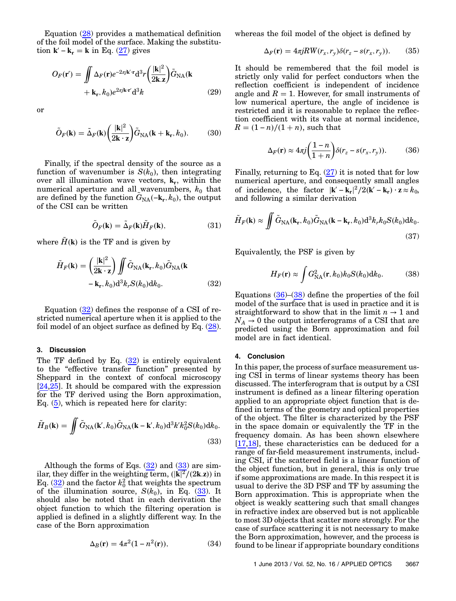Equation (28) provides a mathematical definition of the foil model of the surface. Making the substitution  $\mathbf{k}' - \mathbf{k}_r = \mathbf{k}$  in Eq. (27) gives

$$
O_F(\mathbf{r}') = \iint \Delta_F(\mathbf{r}) e^{-2\pi j \mathbf{k}' \cdot \mathbf{r}} d^3 r \left(\frac{|\mathbf{k}|^2}{2\mathbf{k} \cdot \mathbf{z}}\right) \tilde{G}_{\text{NA}}(\mathbf{k} + \mathbf{k}_{\mathbf{r}}, k_0) e^{2\pi j \mathbf{k} \cdot \mathbf{r}'} d^3 k
$$
 (29)

or

$$
\tilde{O}_F(\mathbf{k}) = \tilde{\Delta}_F(\mathbf{k}) \left(\frac{|\mathbf{k}|^2}{2\mathbf{k} \cdot \mathbf{z}}\right) \tilde{G}_{\text{NA}}(\mathbf{k} + \mathbf{k}_r, k_0).
$$
 (30)

Finally, if the spectral density of the source as a function of wavenumber is  $S(k_0)$ , then integrating over all illumination wave vectors,  $\mathbf{k}_r$ , within the numerical aperture and all wavenumbers,  $k_0$  that are defined by the function  $\tilde{G}_{\text{NA}}(-\mathbf{k}_r, k_0)$ , the output of the CSI can be written

$$
\tilde{O}_F(\mathbf{k}) = \tilde{\Delta}_F(\mathbf{k}) \tilde{H}_F(\mathbf{k}),\tag{31}
$$

where  $\tilde{H}(\mathbf{k})$  is the TF and is given by

$$
\tilde{H}_F(\mathbf{k}) = \left(\frac{|\mathbf{k}|^2}{2\mathbf{k} \cdot \mathbf{z}}\right) \iint \tilde{G}_{\text{NA}}(\mathbf{k}_r, k_0) \tilde{G}_{\text{NA}}(\mathbf{k} - \mathbf{k}_r, k_0) d^3 k_r S(k_0) dk_0.
$$
\n(32)

Equation (32) defines the response of a CSI of restricted numerical aperture when it is applied to the foil model of an object surface as defined by Eq. (28).

# 3. Discussion

The TF defined by Eq.  $(32)$  is entirely equivalent to the "effective transfer function" presented by Sheppard in the context of confocal microscopy [24,25]. It should be compared with the expression for the TF derived using the Born approximation, Eq. (5), which is repeated here for clarity:

$$
\tilde{H}_B(\mathbf{k}) = \iint \tilde{G}_{\text{NA}}(\mathbf{k}', k_0) \tilde{G}_{\text{NA}}(\mathbf{k} - \mathbf{k}', k_0) d^3 k' k_0^2 S(k_0) dk_0.
$$
\n(33)

Although the forms of Eqs.  $(32)$  and  $(33)$  are similar, they differ in the weighting term,  $\frac{|\mathbf{k}|^2}{2}$  (2k.z)) in Eq.  $(32)$  and the factor  $k_0^2$  that weights the spectrum of the illumination source,  $S(k_0)$ , in Eq.  $(33)$ . It should also be noted that in each derivation the object function to which the filtering operation is applied is defined in a slightly different way. In the case of the Born approximation

$$
\Delta_B(\mathbf{r}) = 4\pi^2 (1 - n^2(\mathbf{r})),\tag{34}
$$

whereas the foil model of the object is defined by

$$
\Delta_F(\mathbf{r}) = 4\pi j R W(r_x, r_y) \delta(r_z - s(r_x, r_y)). \tag{35}
$$

It should be remembered that the foil model is strictly only valid for perfect conductors when the reflection coefficient is independent of incidence angle and  $R = 1$ . However, for small instruments of low numerical aperture, the angle of incidence is restricted and it is reasonable to replace the reflection coefficient with its value at normal incidence,  $R = (1 - n)/(1 + n)$ , such that

$$
\Delta_F(\mathbf{r}) \approx 4\pi j \left(\frac{1-n}{1+n}\right) \delta(r_z - s(r_x, r_y)).\tag{36}
$$

Finally, returning to Eq.  $(27)$  it is noted that for low numerical aperture, and consequently small angles of incidence, the factor  $|\mathbf{k}' - \mathbf{k}_r|^2/2(\mathbf{k}' - \mathbf{k}_r) \cdot \mathbf{z} \approx k_0$ , and following a similar derivation

$$
\tilde{H}_F(\mathbf{k}) \approx \iint \tilde{G}_{\text{NA}}(\mathbf{k}_r, k_0) \tilde{G}_{\text{NA}}(\mathbf{k} - \mathbf{k}_r, k_0) d^3 k_r k_0 S(k_0) dk_0.
$$
\n(37)

Equivalently, the PSF is given by

$$
H_F(\mathbf{r}) \approx \int G_{\text{NA}}^2(\mathbf{r}, k_0) k_0 S(k_0) \mathrm{d}k_0. \tag{38}
$$

Equations  $(36)$ – $(38)$  define the properties of the foil model of the surface that is used in practice and it is straightforward to show that in the limit  $n \to 1$  and  $N_A \rightarrow 0$  the output interferograms of a CSI that are predicted using the Born approximation and foil model are in fact identical.

#### 4. Conclusion

In this paper, the process of surface measurement using CSI in terms of linear systems theory has been discussed. The interferogram that is output by a CSI instrument is defined as a linear filtering operation applied to an appropriate object function that is defined in terms of the geometry and optical properties of the object. The filter is characterized by the PSF in the space domain or equivalently the TF in the frequency domain. As has been shown elsewhere [17,18], these characteristics can be deduced for a range of far-field measurement instruments, including CSI, if the scattered field is a linear function of the object function, but in general, this is only true if some approximations are made. In this respect it is usual to derive the 3D PSF and TF by assuming the Born approximation. This is appropriate when the object is weakly scattering such that small changes in refractive index are observed but is not applicable to most 3D objects that scatter more strongly. For the case of surface scattering it is not necessary to make the Born approximation, however, and the process is found to be linear if appropriate boundary conditions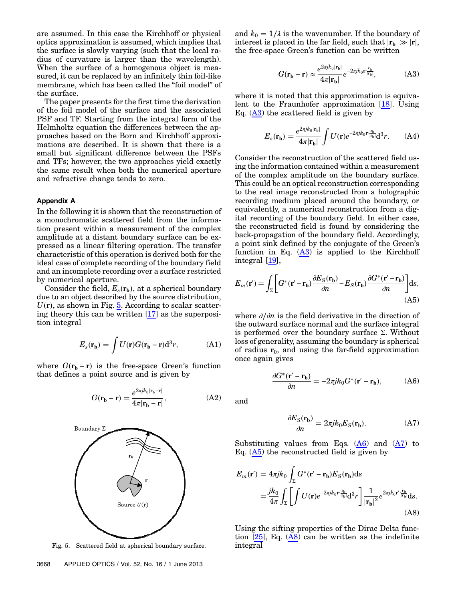are assumed. In this case the Kirchhoff or physical optics approximation is assumed, which implies that the surface is slowly varying (such that the local radius of curvature is larger than the wavelength). When the surface of a homogenous object is measured, it can be replaced by an infinitely thin foil-like membrane, which has been called the "foil model" of the surface.

The paper presents for the first time the derivation of the foil model of the surface and the associated PSF and TF. Starting from the integral form of the Helmholtz equation the differences between the approaches based on the Born and Kirchhoff approximations are described. It is shown that there is a small but significant difference between the PSFs and TFs; however, the two approaches yield exactly the same result when both the numerical aperture and refractive change tends to zero.

# Appendix A

In the following it is shown that the reconstruction of a monochromatic scattered field from the information present within a measurement of the complex amplitude at a distant boundary surface can be expressed as a linear filtering operation. The transfer characteristic of this operation is derived both for the ideal case of complete recording of the boundary field and an incomplete recording over a surface restricted by numerical aperture.

Consider the field,  $E_s(\mathbf{r}_b)$ , at a spherical boundary due to an object described by the source distribution,  $U(\mathbf{r})$ , as shown in Fig.  $5$ . According to scalar scattering theory this can be written [17] as the superposition integral

$$
E_s(\mathbf{r_b}) = \int U(\mathbf{r})G(\mathbf{r_b} - \mathbf{r})d^3r,
$$
 (A1)

where  $G(\mathbf{r}_b - \mathbf{r})$  is the free-space Green's function that defines a point source and is given by

$$
G(\mathbf{r_b} - \mathbf{r}) = \frac{e^{2\pi j k_0 |\mathbf{r_b} - \mathbf{r}|}}{4\pi |\mathbf{r_b} - \mathbf{r}|},
$$
(A2)



Fig. 5. Scattered field at spherical boundary surface. integral

and  $k_0 = 1/\lambda$  is the wavenumber. If the boundary of interest is placed in the far field, such that  $|\mathbf{r}_b| \gg |\mathbf{r}|$ , the free-space Green's function can be written

$$
G(\mathbf{r_b} - \mathbf{r}) \approx \frac{e^{2\pi j k_0 |\mathbf{r_b}|}}{4\pi |\mathbf{r_b}|} e^{-2\pi j k_0 \mathbf{r} \cdot \frac{\mathbf{r_b}}{|\mathbf{r_b}|}},\tag{A3}
$$

where it is noted that this approximation is equivalent to the Fraunhofer approximation [18]. Using Eq.  $(A3)$  the scattered field is given by

$$
E_s(\mathbf{r_b}) = \frac{e^{2\pi j k_0 |\mathbf{r_b}|}}{4\pi |\mathbf{r_b}|} \int U(\mathbf{r}) e^{-2\pi j k_0 \mathbf{r} \cdot \frac{\mathbf{r_b}}{|\mathbf{r_b}|}} \mathrm{d}^3 r. \quad (A4)
$$

Consider the reconstruction of the scattered field using the information contained within a measurement of the complex amplitude on the boundary surface. This could be an optical reconstruction corresponding to the real image reconstructed from a holographic recording medium placed around the boundary, or equivalently, a numerical reconstruction from a digital recording of the boundary field. In either case, the reconstructed field is found by considering the back-propagation of the boundary field. Accordingly, a point sink defined by the conjugate of the Green's function in Eq.  $(A3)$  is applied to the Kirchhoff integral [19],

$$
E_m(\mathbf{r}') = \int_{\Sigma} \left[ G^*(\mathbf{r}' - \mathbf{r}_b) \frac{\partial E_S(\mathbf{r}_b)}{\partial n} - E_S(\mathbf{r}_b) \frac{\partial G^*(\mathbf{r}' - \mathbf{r}_b)}{\partial n} \right] ds,
$$
(A5)

where ∂∕∂n is the field derivative in the direction of the outward surface normal and the surface integral is performed over the boundary surface Σ. Without loss of generality, assuming the boundary is spherical of radius  $r_0$ , and using the far-field approximation once again gives

$$
\frac{\partial G^*(\mathbf{r}' - \mathbf{r}_b)}{\partial n} = -2\pi j k_0 G^*(\mathbf{r}' - \mathbf{r}_b),\tag{A6}
$$

and

$$
\frac{\partial E_S(\mathbf{r_b})}{\partial n} = 2\pi j k_0 E_S(\mathbf{r_b}).\tag{A7}
$$

Substituting values from Eqs.  $(A6)$  and  $(A7)$  to Eq.  $(A5)$  the reconstructed field is given by

$$
E_m(\mathbf{r}') = 4\pi j k_0 \int_{\Sigma} G^*(\mathbf{r}' - \mathbf{r}_b) E_S(\mathbf{r}_b) \mathrm{d}s
$$
  
= 
$$
\frac{j k_0}{4\pi} \int_{\Sigma} \left[ \int U(\mathbf{r}) e^{-2\pi j k_0 \mathbf{r} \frac{\mathbf{r}_b}{|\mathbf{r}_b|}} \mathrm{d}^3 r \right] \frac{1}{|\mathbf{r}_b|^2} e^{2\pi j k_0 \mathbf{r}' \frac{\mathbf{r}_b}{|\mathbf{r}_b|}} \mathrm{d}s.
$$
(A8)

Using the sifting properties of the Dirac Delta function  $[25]$ , Eq.  $(AB)$  can be written as the indefinite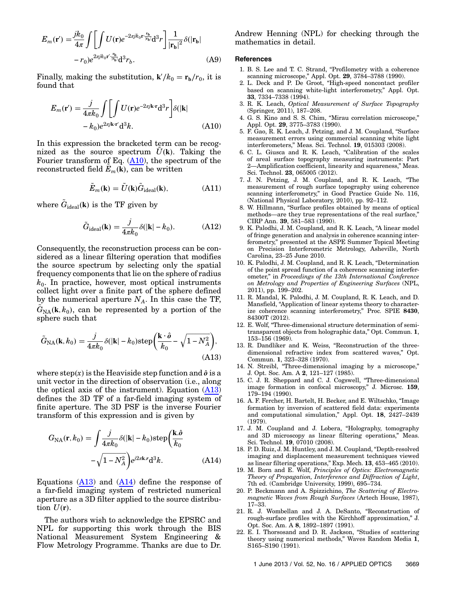$$
E_m(\mathbf{r}') = \frac{jk_0}{4\pi} \int \left[ \int U(\mathbf{r}) e^{-2\pi j k_0 \mathbf{r} \cdot \frac{\mathbf{r_b}}{|\mathbf{r_b}|}} \mathrm{d}^3 r \right] \frac{1}{|\mathbf{r_b}|^2} \delta(|\mathbf{r_b}| - r_0) e^{2\pi j k_0 \mathbf{r}' \cdot \frac{\mathbf{r_b}}{|\mathbf{r_b}|} \mathrm{d}^3 r_b}.
$$
 (A9)

Finally, making the substitution,  $\mathbf{k}'/k_0 = \mathbf{r_b}/r_0$ , it is found that

$$
E_m(\mathbf{r}') = \frac{j}{4\pi k_0} \int \left[ \int U(\mathbf{r}) e^{-2\pi j \mathbf{k} \cdot \mathbf{r}} \mathrm{d}^3 r \right] \delta(|\mathbf{k}| -k_0) e^{2\pi j \mathbf{k} \cdot \mathbf{r}'} \mathrm{d}^3 k. \tag{A10}
$$

In this expression the bracketed term can be recognized as the source spectrum  $\hat{U}(\mathbf{k})$ . Taking the Fourier transform of Eq.  $(A10)$ , the spectrum of the reconstructed field  $\tilde{E}_m(\mathbf{k})$ , can be written

$$
\tilde{E}_m(\mathbf{k}) = \tilde{U}(\mathbf{k})\tilde{G}_{\text{ideal}}(\mathbf{k}),\tag{A11}
$$

where  $\tilde{G}_{\text{ideal}}(\mathbf{k})$  is the TF given by

$$
\tilde{G}_{\text{ideal}}(\mathbf{k}) = \frac{j}{4\pi k_0} \delta(|\mathbf{k}| - k_0). \tag{A12}
$$

Consequently, the reconstruction process can be considered as a linear filtering operation that modifies the source spectrum by selecting only the spatial frequency components that lie on the sphere of radius  $k_0$ . In practice, however, most optical instruments collect light over a finite part of the sphere defined by the numerical aperture  $N_A$ . In this case the TF,  $\tilde{G}_{\rm NA}({\bf k}, k_0)$ , can be represented by a portion of the sphere such that

$$
\tilde{G}_{\text{NA}}(\mathbf{k}, k_0) = \frac{j}{4\pi k_0} \delta(|\mathbf{k}| - k_0) \text{step}\left(\frac{\mathbf{k} \cdot \hat{\boldsymbol{\theta}}}{k_0} - \sqrt{1 - N_A^2}\right),\tag{A13}
$$

where  $step(x)$  is the Heaviside step function and  $\hat{o}$  is a unit vector in the direction of observation (i.e., along the optical axis of the instrument). Equation  $(A13)$ defines the 3D TF of a far-field imaging system of finite aperture. The 3D PSF is the inverse Fourier transform of this expression and is given by

$$
G_{\rm NA}(\mathbf{r}, k_0) = \int \frac{j}{4\pi k_0} \delta(|\mathbf{k}| - k_0) \text{step} \left(\frac{\mathbf{k}.\hat{\mathbf{o}}}{k_0} - \sqrt{1 - N_A^2}\right) e^{j2\pi \mathbf{k} \cdot \mathbf{r}} \text{d}^3 k. \tag{A14}
$$

Equations  $(A13)$  and  $(A14)$  define the response of a far-field imaging system of restricted numerical aperture as a 3D filter applied to the source distribution  $U(\mathbf{r})$ .

The authors wish to acknowledge the EPSRC and NPL for supporting this work through the BIS National Measurement System Engineering & Flow Metrology Programme. Thanks are due to Dr. Andrew Henning (NPL) for checking through the mathematics in detail.

#### References

- 1. B. S. Lee and T. C. Strand, "Profilometry with a coherence scanning microscope," Appl. Opt. 29, 3784–3788 (1990).
- 2. L. Deck and P. De Groot, "High-speed noncontact profiler based on scanning white-light interferometry," Appl. Opt. 33, 7334–7338 (1994).
- 3. R. K. Leach, Optical Measurement of Surface Topography (Springer, 2011), 187–208.
- 4. G. S. Kino and S. S. Chim, "Mirau correlation microscope," Appl. Opt. 29, 3775-3783 (1990).
- 5. F. Gao, R. K. Leach, J. Petzing, and J. M. Coupland, "Surface measurement errors using commercial scanning white light interferometers," Meas. Sci. Technol. 19, 015303 (2008).
- 6. C. L. Giusca and R. K. Leach, "Calibration of the scales of areal surface topography measuring instruments: Part 2—Amplification coefficient, linearity and squareness," Meas. Sci. Technol. 23, 065005 (2012).
- 7. J. N. Petzing, J. M. Coupland, and R. K. Leach, "The measurement of rough surface topography using coherence scanning interferometry," in Good Practice Guide No. 116, (National Physical Laboratory, 2010), pp. 92–112.
- 8. W. Hillmann, "Surface profiles obtained by means of optical methods—are they true representations of the real surface," CIRP Ann. 39, 581–583 (1990).
- 9. K. Palodhi, J. M. Coupland, and R. K. Leach, "A linear model of fringe generation and analysis in coherence scanning interferometry," presented at the ASPE Summer Topical Meeting on Precision Interferometric Metrology, Asheville, North Carolina, 23–25 June 2010.
- 10. K. Palodhi, J. M. Coupland, and R. K. Leach, "Determination of the point spread function of a coherence scanning interferometer," in Proceedings of the 13th International Conference on Metrology and Properties of Engineering Surfaces (NPL, 2011), pp. 199–202.
- 11. R. Mandal, K. Palodhi, J. M. Coupland, R. K. Leach, and D. Mansfield, "Application of linear systems theory to characterize coherence scanning interferometry," Proc. SPIE 8430, 84300T (2012).
- 12. E. Wolf, "Three-dimensional structure determination of semitransparent objects from holographic data," Opt. Commun. 1, 153–156 (1969).
- 13. R. Dandliker and K. Weiss, "Reconstruction of the threedimensional refractive index from scattered waves," Opt. Commun. 1, 323–328 (1970).
- 14. N. Streibl, "Three-dimensional imaging by a microscope," J. Opt. Soc. Am. A 2, 121–127 (1985).
- 15. C. J. R. Sheppard and C. J. Cogswell, "Three-dimensional image formation in confocal microscopy," J. Microsc. 159, 179–194 (1990).
- 16. A. F. Fercher, H. Bartelt, H. Becker, and E. Wiltschko, "Image formation by inversion of scattered field data: experiments and computational simulation," Appl. Opt. 18, 2427–2439 (1979).
- 17. J. M. Coupland and J. Lobera, "Holography, tomography and 3D microscopy as linear filtering operations," Meas. Sci. Technol. 19, 07010 (2008).
- 18. P. D. Ruiz, J. M. Huntley, and J. M. Coupland, "Depth-resolved imaging and displacement measurement techniques viewed as linear filtering operations," Exp. Mech. 13, 453–465 (2010).
- 19. M. Born and E. Wolf, Principles of Optics: Electromagnetic Theory of Propagation, Interference and Diffraction of Light, 7th ed. (Cambridge University, 1999), 695–734.
- 20. P. Beckmann and A. Spizzichino, The Scattering of Electromagnetic Waves from Rough Surfaces (Artech House, 1987), 17–33.
- 21. R. J. Wombellan and J. A. DeSanto, "Reconstruction of rough-surface profiles with the Kirchhoff approximation," J. Opt. Soc. Am. A 8, 1892–1897 (1991).
- 22. E. I. Thorsosand and D. R. Jackson, "Studies of scattering theory using numerical methods," Waves Random Media 1, S165–S190 (1991).